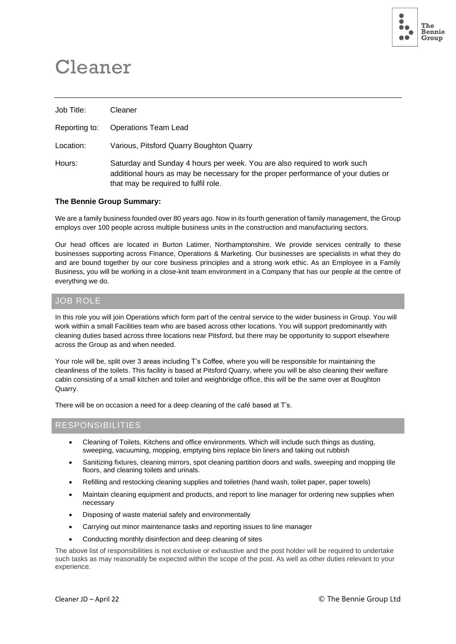

# Cleaner

| Job Title:    | Cleaner                                                                                                                                                                                               |
|---------------|-------------------------------------------------------------------------------------------------------------------------------------------------------------------------------------------------------|
| Reporting to: | <b>Operations Team Lead</b>                                                                                                                                                                           |
| Location:     | Various, Pitsford Quarry Boughton Quarry                                                                                                                                                              |
| Hours:        | Saturday and Sunday 4 hours per week. You are also required to work such<br>additional hours as may be necessary for the proper performance of your duties or<br>that may be required to fulfil role. |

#### **The Bennie Group Summary:**

We are a family business founded over 80 years ago. Now in its fourth generation of family management, the Group employs over 100 people across multiple business units in the construction and manufacturing sectors.

Our head offices are located in Burton Latimer, Northamptonshire. We provide services centrally to these businesses supporting across Finance, Operations & Marketing. Our businesses are specialists in what they do and are bound together by our core business principles and a strong work ethic. As an Employee in a Family Business, you will be working in a close-knit team environment in a Company that has our people at the centre of everything we do.

## JOB ROLE

In this role you will join Operations which form part of the central service to the wider business in Group. You will work within a small Facilities team who are based across other locations. You will support predominantly with cleaning duties based across three locations near Pitsford, but there may be opportunity to support elsewhere across the Group as and when needed.

Your role will be, split over 3 areas including T's Coffee, where you will be responsible for maintaining the cleanliness of the toilets. This facility is based at Pitsford Quarry, where you will be also cleaning their welfare cabin consisting of a small kitchen and toilet and weighbridge office, this will be the same over at Boughton Quarry.

There will be on occasion a need for a deep cleaning of the café based at T's.

### **RESPONSIBILITIES**

- Cleaning of Toilets, Kitchens and office environments. Which will include such things as dusting, sweeping, vacuuming, mopping, emptying bins replace bin liners and taking out rubbish
- Sanitizing fixtures, cleaning mirrors, spot cleaning partition doors and walls, sweeping and mopping tile floors, and cleaning toilets and urinals.
- Refilling and restocking cleaning supplies and toiletries (hand wash, toilet paper, paper towels)
- Maintain cleaning equipment and products, and report to line manager for ordering new supplies when necessary
- Disposing of waste material safely and environmentally
- Carrying out minor maintenance tasks and reporting issues to line manager
- Conducting monthly disinfection and deep cleaning of sites

The above list of responsibilities is not exclusive or exhaustive and the post holder will be required to undertake such tasks as may reasonably be expected within the scope of the post. As well as other duties relevant to your experience.